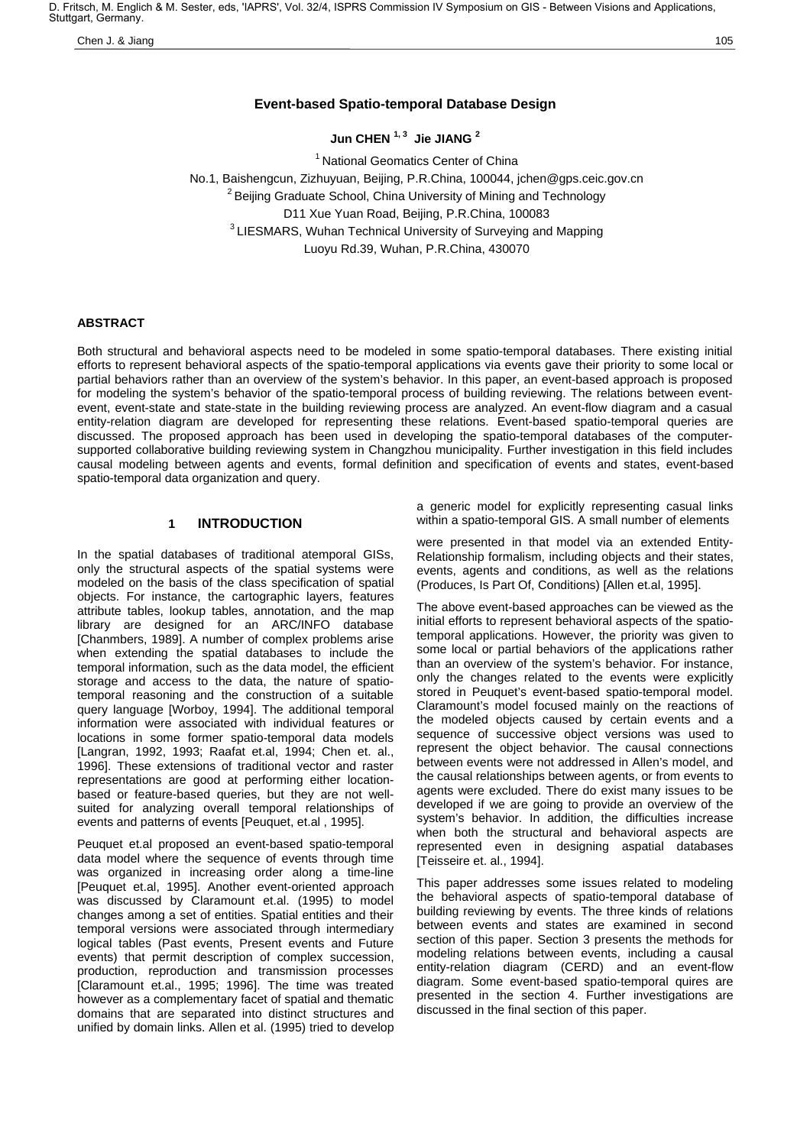D. Fritsch, M. Englich & M. Sester, eds, 'IAPRS', Vol. 32/4, ISPRS Commission IV Symposium on GIS - Between Visions and Applications, Stuttgart, Germany.

Chen J. & Jiang 105

# **Event-based Spatio-temporal Database Design**

**Jun CHEN 1, 3 Jie JIANG 2**

<sup>1</sup> National Geomatics Center of China No.1, Baishengcun, Zizhuyuan, Beijing, P.R.China, 100044, jchen@gps.ceic.gov.cn  $2$  Beijing Graduate School, China University of Mining and Technology D11 Xue Yuan Road, Beijing, P.R.China, 100083 <sup>3</sup> LIESMARS, Wuhan Technical University of Surveying and Mapping Luoyu Rd.39, Wuhan, P.R.China, 430070

### **ABSTRACT**

Both structural and behavioral aspects need to be modeled in some spatio-temporal databases. There existing initial efforts to represent behavioral aspects of the spatio-temporal applications via events gave their priority to some local or partial behaviors rather than an overview of the system's behavior. In this paper, an event-based approach is proposed for modeling the system's behavior of the spatio-temporal process of building reviewing. The relations between eventevent, event-state and state-state in the building reviewing process are analyzed. An event-flow diagram and a casual entity-relation diagram are developed for representing these relations. Event-based spatio-temporal queries are discussed. The proposed approach has been used in developing the spatio-temporal databases of the computersupported collaborative building reviewing system in Changzhou municipality. Further investigation in this field includes causal modeling between agents and events, formal definition and specification of events and states, event-based spatio-temporal data organization and query.

## **1 INTRODUCTION**

In the spatial databases of traditional atemporal GISs, only the structural aspects of the spatial systems were modeled on the basis of the class specification of spatial objects. For instance, the cartographic layers, features attribute tables, lookup tables, annotation, and the map library are designed for an ARC/INFO database [Chanmbers, 1989]. A number of complex problems arise when extending the spatial databases to include the temporal information, such as the data model, the efficient storage and access to the data, the nature of spatiotemporal reasoning and the construction of a suitable query language [Worboy, 1994]. The additional temporal information were associated with individual features or locations in some former spatio-temporal data models [Langran, 1992, 1993; Raafat et.al, 1994; Chen et. al., 1996]. These extensions of traditional vector and raster representations are good at performing either locationbased or feature-based queries, but they are not wellsuited for analyzing overall temporal relationships of events and patterns of events [Peuquet, et.al , 1995].

Peuquet et.al proposed an event-based spatio-temporal data model where the sequence of events through time was organized in increasing order along a time-line [Peuquet et.al, 1995]. Another event-oriented approach was discussed by Claramount et.al. (1995) to model changes among a set of entities. Spatial entities and their temporal versions were associated through intermediary logical tables (Past events, Present events and Future events) that permit description of complex succession, production, reproduction and transmission processes [Claramount et.al., 1995; 1996]. The time was treated however as a complementary facet of spatial and thematic domains that are separated into distinct structures and unified by domain links. Allen et al. (1995) tried to develop a generic model for explicitly representing casual links within a spatio-temporal GIS. A small number of elements

were presented in that model via an extended Entity-Relationship formalism, including objects and their states, events, agents and conditions, as well as the relations (Produces, Is Part Of, Conditions) [Allen et.al, 1995].

The above event-based approaches can be viewed as the initial efforts to represent behavioral aspects of the spatiotemporal applications. However, the priority was given to some local or partial behaviors of the applications rather than an overview of the system's behavior. For instance, only the changes related to the events were explicitly stored in Peuquet's event-based spatio-temporal model. Claramount's model focused mainly on the reactions of the modeled objects caused by certain events and a sequence of successive object versions was used to represent the object behavior. The causal connections between events were not addressed in Allen's model, and the causal relationships between agents, or from events to agents were excluded. There do exist many issues to be developed if we are going to provide an overview of the system's behavior. In addition, the difficulties increase when both the structural and behavioral aspects are represented even in designing aspatial databases [Teisseire et. al., 1994].

This paper addresses some issues related to modeling the behavioral aspects of spatio-temporal database of building reviewing by events. The three kinds of relations between events and states are examined in second section of this paper. Section 3 presents the methods for modeling relations between events, including a causal entity-relation diagram (CERD) and an event-flow diagram. Some event-based spatio-temporal quires are presented in the section 4. Further investigations are discussed in the final section of this paper.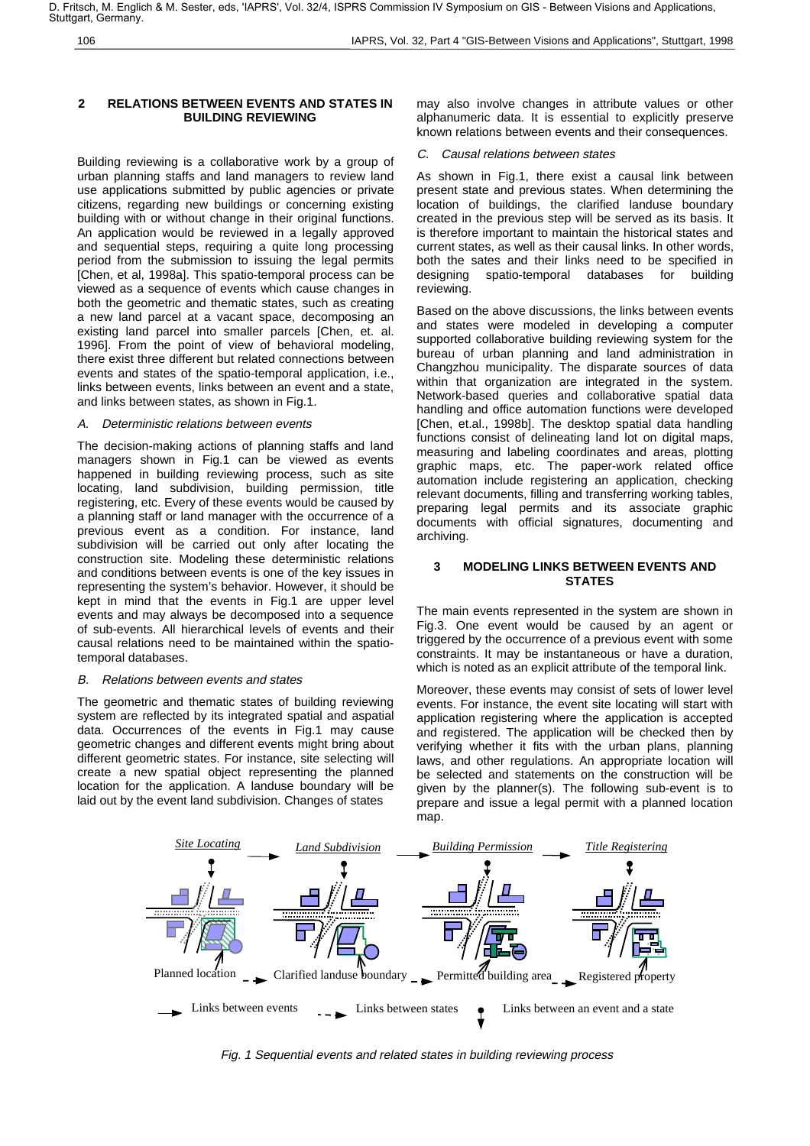106 IAPRS, Vol. 32, Part 4 "GIS-Between Visions and Applications", Stuttgart, 1998

### **2 RELATIONS BETWEEN EVENTS AND STATES IN BUILDING REVIEWING**

Building reviewing is a collaborative work by a group of urban planning staffs and land managers to review land use applications submitted by public agencies or private citizens, regarding new buildings or concerning existing building with or without change in their original functions. An application would be reviewed in a legally approved and sequential steps, requiring a quite long processing period from the submission to issuing the legal permits [Chen, et al, 1998a]. This spatio-temporal process can be viewed as a sequence of events which cause changes in both the geometric and thematic states, such as creating a new land parcel at a vacant space, decomposing an existing land parcel into smaller parcels [Chen, et. al. 1996]. From the point of view of behavioral modeling, there exist three different but related connections between events and states of the spatio-temporal application, i.e., links between events, links between an event and a state, and links between states, as shown in Fig.1.

#### A. Deterministic relations between events

The decision-making actions of planning staffs and land managers shown in Fig.1 can be viewed as events happened in building reviewing process, such as site locating, land subdivision, building permission, title registering, etc. Every of these events would be caused by a planning staff or land manager with the occurrence of a previous event as a condition. For instance, land subdivision will be carried out only after locating the construction site. Modeling these deterministic relations and conditions between events is one of the key issues in representing the system's behavior. However, it should be kept in mind that the events in Fig.1 are upper level events and may always be decomposed into a sequence of sub-events. All hierarchical levels of events and their causal relations need to be maintained within the spatiotemporal databases.

#### B. Relations between events and states

The geometric and thematic states of building reviewing system are reflected by its integrated spatial and aspatial data. Occurrences of the events in Fig.1 may cause geometric changes and different events might bring about different geometric states. For instance, site selecting will create a new spatial object representing the planned location for the application. A landuse boundary will be laid out by the event land subdivision. Changes of states

may also involve changes in attribute values or other alphanumeric data. It is essential to explicitly preserve known relations between events and their consequences.

#### C. Causal relations between states

As shown in Fig.1, there exist a causal link between present state and previous states. When determining the location of buildings, the clarified landuse boundary created in the previous step will be served as its basis. It is therefore important to maintain the historical states and current states, as well as their causal links. In other words, both the sates and their links need to be specified in designing spatio-temporal databases for building spatio-temporal databases for building reviewing.

Based on the above discussions, the links between events and states were modeled in developing a computer supported collaborative building reviewing system for the bureau of urban planning and land administration in Changzhou municipality. The disparate sources of data within that organization are integrated in the system. Network-based queries and collaborative spatial data handling and office automation functions were developed [Chen, et.al., 1998b]. The desktop spatial data handling functions consist of delineating land lot on digital maps, measuring and labeling coordinates and areas, plotting graphic maps, etc. The paper-work related office automation include registering an application, checking relevant documents, filling and transferring working tables, preparing legal permits and its associate graphic documents with official signatures, documenting and archiving.

# **3 MODELING LINKS BETWEEN EVENTS AND STATES**

The main events represented in the system are shown in Fig.3. One event would be caused by an agent or triggered by the occurrence of a previous event with some constraints. It may be instantaneous or have a duration, which is noted as an explicit attribute of the temporal link.

Moreover, these events may consist of sets of lower level events. For instance, the event site locating will start with application registering where the application is accepted and registered. The application will be checked then by verifying whether it fits with the urban plans, planning laws, and other regulations. An appropriate location will be selected and statements on the construction will be given by the planner(s). The following sub-event is to prepare and issue a legal permit with a planned location map.



Fig. 1 Sequential events and related states in building reviewing process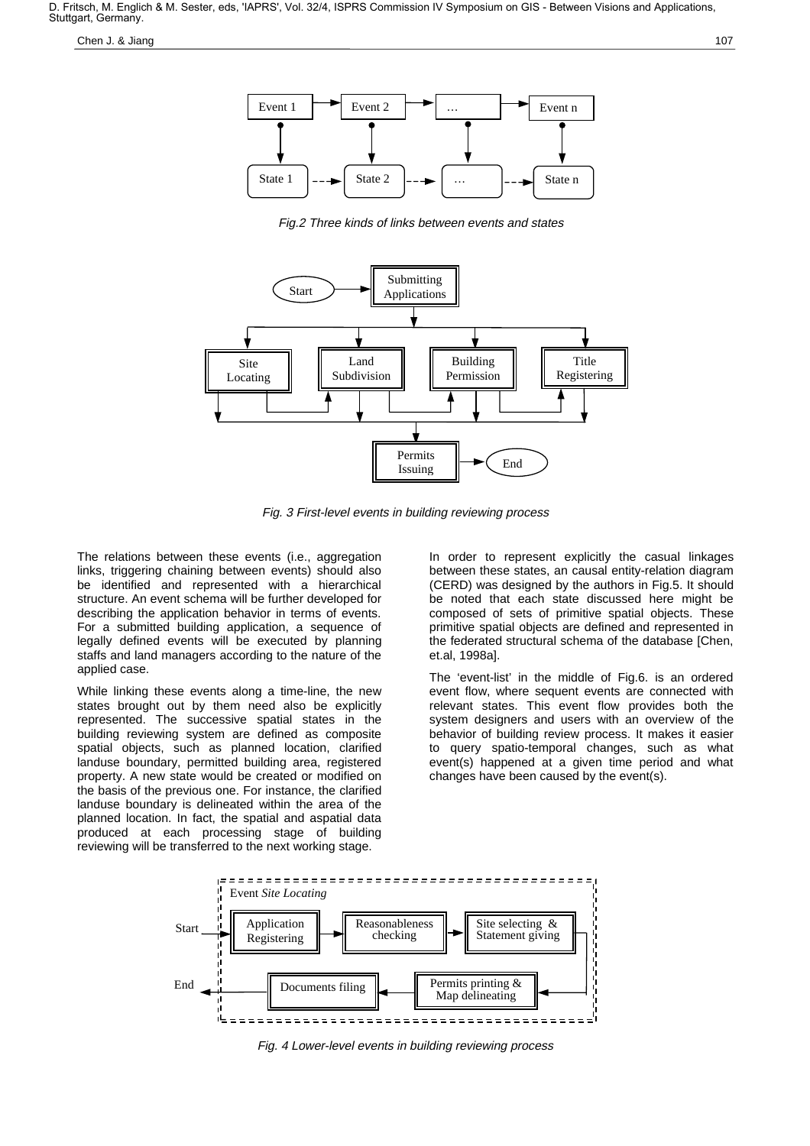Chen J. & Jiang 107

Fig.2 Three kinds of links between events and states



Fig. 3 First-level events in building reviewing process

The relations between these events (i.e., aggregation links, triggering chaining between events) should also be identified and represented with a hierarchical structure. An event schema will be further developed for describing the application behavior in terms of events. For a submitted building application, a sequence of legally defined events will be executed by planning staffs and land managers according to the nature of the applied case.

While linking these events along a time-line, the new states brought out by them need also be explicitly represented. The successive spatial states in the building reviewing system are defined as composite spatial objects, such as planned location, clarified landuse boundary, permitted building area, registered property. A new state would be created or modified on the basis of the previous one. For instance, the clarified landuse boundary is delineated within the area of the planned location. In fact, the spatial and aspatial data produced at each processing stage of building reviewing will be transferred to the next working stage.

In order to represent explicitly the casual linkages between these states, an causal entity-relation diagram (CERD) was designed by the authors in Fig.5. It should be noted that each state discussed here might be composed of sets of primitive spatial objects. These primitive spatial objects are defined and represented in the federated structural schema of the database [Chen, et.al, 1998a].

The 'event-list' in the middle of Fig.6. is an ordered event flow, where sequent events are connected with relevant states. This event flow provides both the system designers and users with an overview of the behavior of building review process. It makes it easier to query spatio-temporal changes, such as what event(s) happened at a given time period and what changes have been caused by the event(s).



Fig. 4 Lower-level events in building reviewing process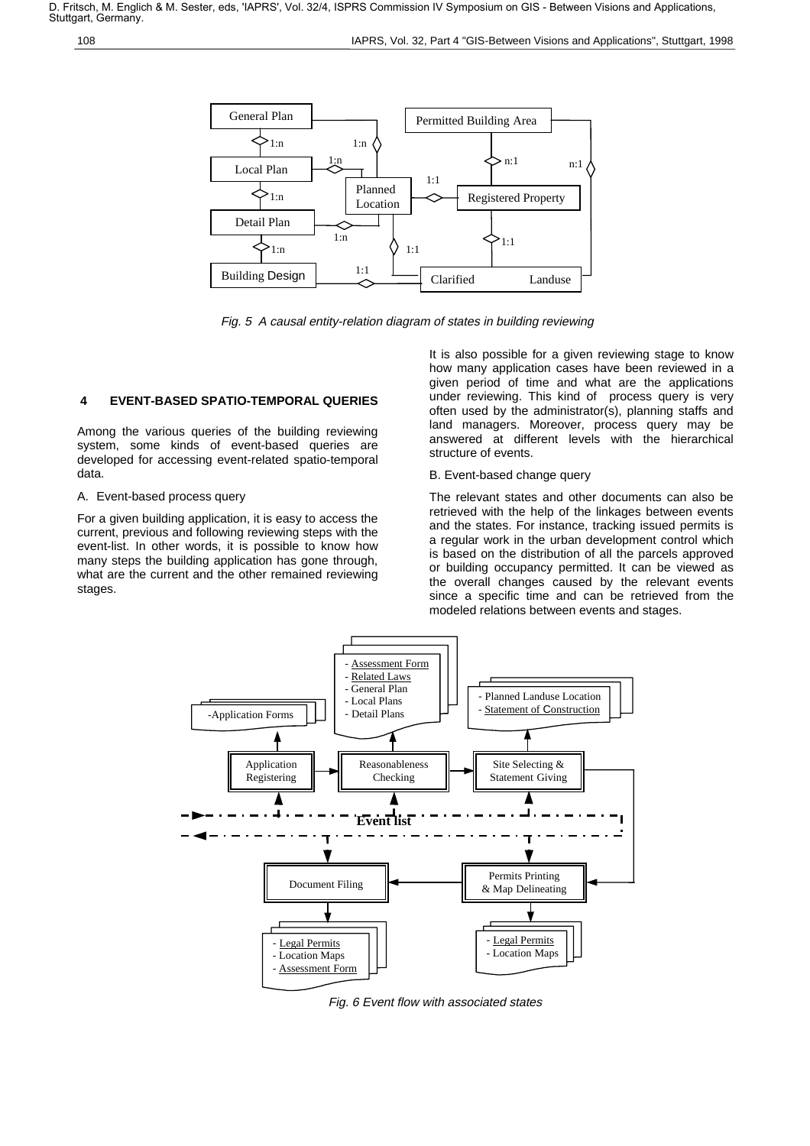

Fig. 5 A causal entity-relation diagram of states in building reviewing

# **4 EVENT-BASED SPATIO-TEMPORAL QUERIES**

Among the various queries of the building reviewing system, some kinds of event-based queries are developed for accessing event-related spatio-temporal data.

# A. Event-based process query

For a given building application, it is easy to access the current, previous and following reviewing steps with the event-list. In other words, it is possible to know how many steps the building application has gone through, what are the current and the other remained reviewing stages.

It is also possible for a given reviewing stage to know how many application cases have been reviewed in a given period of time and what are the applications under reviewing. This kind of process query is very often used by the administrator(s), planning staffs and land managers. Moreover, process query may be answered at different levels with the hierarchical structure of events.

# B. Event-based change query

The relevant states and other documents can also be retrieved with the help of the linkages between events and the states. For instance, tracking issued permits is a regular work in the urban development control which is based on the distribution of all the parcels approved or building occupancy permitted. It can be viewed as the overall changes caused by the relevant events since a specific time and can be retrieved from the modeled relations between events and stages.



Fig. 6 Event flow with associated states